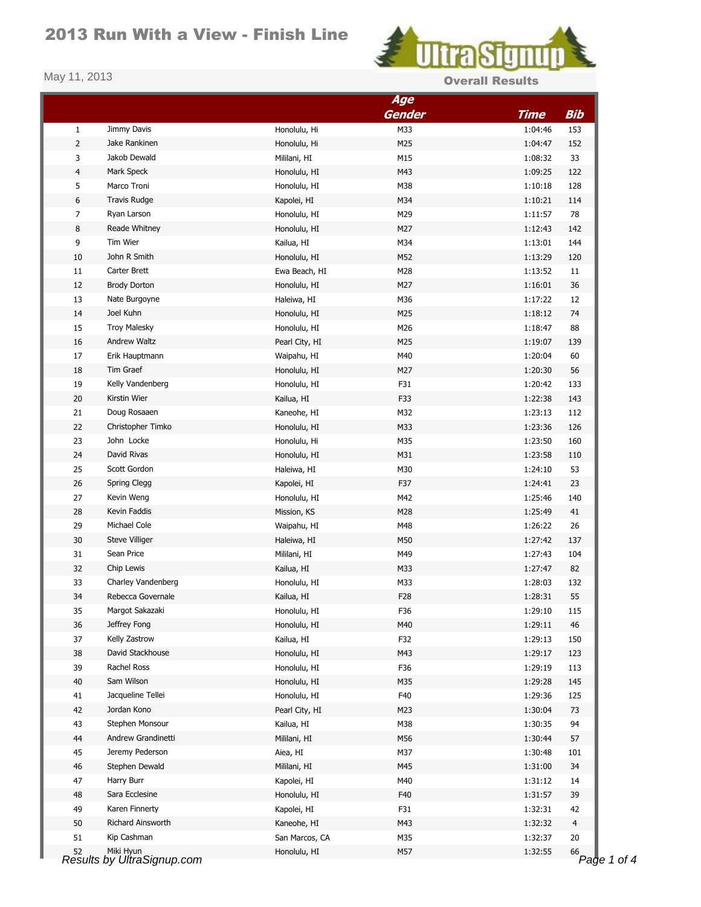## 2013 Run With a View - Finish Line



| <b>Overall Result</b> |  |
|-----------------------|--|
|-----------------------|--|

|                |                                         | Age            |                 |                              |
|----------------|-----------------------------------------|----------------|-----------------|------------------------------|
|                |                                         |                | <b>Gender</b>   | <b>Bib</b><br><b>Time</b>    |
| $\mathbf{1}$   | Jimmy Davis                             | Honolulu, Hi   | M33             | 1:04:46<br>153               |
| 2              | Jake Rankinen                           | Honolulu, Hi   | M25             | 1:04:47<br>152               |
| 3              | Jakob Dewald                            | Mililani, HI   | M15             | 1:08:32<br>33                |
| $\overline{4}$ | Mark Speck                              | Honolulu, HI   | M43             | 1:09:25<br>122               |
| 5              | Marco Troni                             | Honolulu, HI   | M38             | 128<br>1:10:18               |
| 6              | <b>Travis Rudge</b>                     | Kapolei, HI    | M34             | 1:10:21<br>114               |
| $\overline{7}$ | Ryan Larson                             | Honolulu, HI   | M29             | 1:11:57<br>78                |
| 8              | Reade Whitney                           | Honolulu, HI   | M27             | 1:12:43<br>142               |
| 9              | Tim Wier                                | Kailua, HI     | M34             | 1:13:01<br>144               |
| 10             | John R Smith                            | Honolulu, HI   | M52             | 1:13:29<br>120               |
| 11             | Carter Brett                            | Ewa Beach, HI  | M28             | 1:13:52<br>11                |
| 12             | <b>Brody Dorton</b>                     | Honolulu, HI   | M27             | 1:16:01<br>36                |
| 13             | Nate Burgoyne                           | Haleiwa, HI    | M36             | 1:17:22<br>12                |
| 14             | Joel Kuhn                               | Honolulu, HI   | M25             | 1:18:12<br>74                |
| 15             | <b>Troy Malesky</b>                     | Honolulu, HI   | M26             | 88<br>1:18:47                |
| 16             | Andrew Waltz                            | Pearl City, HI | M25             | 1:19:07<br>139               |
| 17             | Erik Hauptmann                          | Waipahu, HI    | M40             | 1:20:04<br>60                |
|                | Tim Graef                               |                |                 |                              |
| 18             |                                         | Honolulu, HI   | M27             | 1:20:30<br>56                |
| 19             | Kelly Vandenberg                        | Honolulu, HI   | F31             | 1:20:42<br>133               |
| 20             | Kirstin Wier                            | Kailua, HI     | F33             | 1:22:38<br>143               |
| 21             | Doug Rosaaen                            | Kaneohe, HI    | M32             | 1:23:13<br>112               |
| 22             | Christopher Timko                       | Honolulu, HI   | M33             | 1:23:36<br>126               |
| 23             | John Locke                              | Honolulu, Hi   | M35             | 1:23:50<br>160               |
| 24             | David Rivas                             | Honolulu, HI   | M31             | 1:23:58<br>110               |
| 25             | Scott Gordon                            | Haleiwa, HI    | M30             | 1:24:10<br>53                |
| 26             | Spring Clegg                            | Kapolei, HI    | F37             | 1:24:41<br>23                |
| 27             | Kevin Weng                              | Honolulu, HI   | M42             | 1:25:46<br>140               |
| 28             | Kevin Faddis                            | Mission, KS    | M28             | 1:25:49<br>41                |
| 29             | Michael Cole                            | Waipahu, HI    | M48             | 1:26:22<br>26                |
| 30             | Steve Villiger                          | Haleiwa, HI    | M50             | 1:27:42<br>137               |
| 31             | Sean Price                              | Mililani, HI   | M49             | 1:27:43<br>104               |
| 32             | Chip Lewis                              | Kailua, HI     | M33             | 1:27:47<br>82                |
| 33             | Charley Vandenberg                      | Honolulu, HI   | M33             | 1:28:03<br>132               |
| 34             | Rebecca Governale                       | Kailua, HI     | F <sub>28</sub> | 1:28:31<br>55                |
| 35             | Margot Sakazaki                         | Honolulu, HI   | F36             | 1:29:10<br>115               |
| 36             | Jeffrey Fong                            | Honolulu, HI   | M40             | 1:29:11<br>46                |
| 37             | Kelly Zastrow                           | Kailua, HI     | F32             | 1:29:13<br>150               |
| 38             | David Stackhouse                        | Honolulu, HI   | M43             | 1:29:17<br>123               |
| 39             | Rachel Ross                             | Honolulu, HI   | F36             | 1:29:19<br>113               |
| 40             | Sam Wilson                              | Honolulu, HI   | M35             | 1:29:28<br>145               |
| 41             | Jacqueline Tellei                       | Honolulu, HI   | F40             | 1:29:36<br>125               |
| 42             | Jordan Kono                             | Pearl City, HI | M23             | 1:30:04<br>73                |
| 43             | Stephen Monsour                         | Kailua, HI     | M38             | 1:30:35<br>94                |
| 44             | Andrew Grandinetti                      | Mililani, HI   | M56             | 1:30:44<br>57                |
| 45             | Jeremy Pederson                         | Aiea, HI       | M37             | 1:30:48<br>101               |
| 46             | Stephen Dewald                          | Mililani, HI   | M45             | 1:31:00<br>34                |
|                |                                         |                |                 |                              |
| 47             | Harry Burr                              | Kapolei, HI    | M40             | 1:31:12<br>14                |
| 48             | Sara Ecclesine                          | Honolulu, HI   | F40             | 1:31:57<br>39                |
| 49             | Karen Finnerty                          | Kapolei, HI    | F31             | 1:32:31<br>42                |
| 50             | Richard Ainsworth                       | Kaneohe, HI    | M43             | 1:32:32<br>4                 |
| 51             | Kip Cashman                             | San Marcos, CA | M35             | 1:32:37<br>20                |
| 52             | Miki Hyun<br>Results by UltraSignup.com | Honolulu, HI   | M57             | 1:32:55<br>66<br>Page 1 of 4 |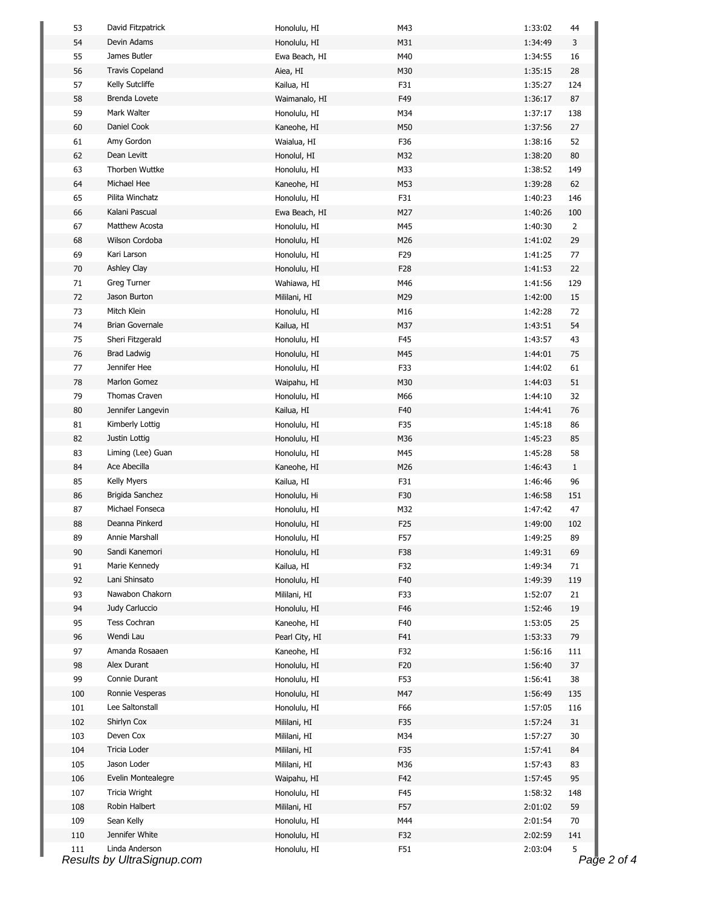| 53  | David Fitzpatrick          | Honolulu, HI   | M43 | 1:33:02 | 44             |
|-----|----------------------------|----------------|-----|---------|----------------|
| 54  | Devin Adams                | Honolulu, HI   | M31 | 1:34:49 | 3              |
| 55  | James Butler               | Ewa Beach, HI  | M40 | 1:34:55 | 16             |
| 56  | <b>Travis Copeland</b>     | Aiea, HI       | M30 | 1:35:15 | 28             |
| 57  | Kelly Sutcliffe            | Kailua, HI     | F31 | 1:35:27 | 124            |
| 58  | Brenda Lovete              | Waimanalo, HI  | F49 | 1:36:17 | 87             |
| 59  | Mark Walter                | Honolulu, HI   | M34 | 1:37:17 | 138            |
| 60  | Daniel Cook                | Kaneohe, HI    | M50 | 1:37:56 | 27             |
| 61  | Amy Gordon                 | Waialua, HI    | F36 | 1:38:16 | 52             |
| 62  | Dean Levitt                | Honolul, HI    | M32 | 1:38:20 | 80             |
| 63  | Thorben Wuttke             | Honolulu, HI   | M33 | 1:38:52 | 149            |
| 64  | Michael Hee                | Kaneohe, HI    | M53 | 1:39:28 | 62             |
| 65  | Pilita Winchatz            | Honolulu, HI   | F31 | 1:40:23 | 146            |
| 66  | Kalani Pascual             | Ewa Beach, HI  | M27 | 1:40:26 | 100            |
| 67  | Matthew Acosta             | Honolulu, HI   | M45 | 1:40:30 | $\overline{2}$ |
| 68  | Wilson Cordoba             | Honolulu, HI   | M26 | 1:41:02 | 29             |
| 69  | Kari Larson                | Honolulu, HI   | F29 | 1:41:25 | 77             |
| 70  | Ashley Clay                | Honolulu, HI   | F28 | 1:41:53 | 22             |
| 71  | Greg Turner                | Wahiawa, HI    | M46 | 1:41:56 | 129            |
| 72  | Jason Burton               | Mililani, HI   | M29 | 1:42:00 | 15             |
| 73  | Mitch Klein                | Honolulu, HI   | M16 | 1:42:28 | 72             |
| 74  | <b>Brian Governale</b>     | Kailua, HI     | M37 | 1:43:51 | 54             |
| 75  | Sheri Fitzgerald           | Honolulu, HI   | F45 | 1:43:57 | 43             |
| 76  | <b>Brad Ladwig</b>         | Honolulu, HI   | M45 | 1:44:01 | 75             |
| 77  | Jennifer Hee               | Honolulu, HI   | F33 | 1:44:02 | 61             |
| 78  | Marlon Gomez               | Waipahu, HI    | M30 | 1:44:03 | 51             |
| 79  | Thomas Craven              | Honolulu, HI   | M66 | 1:44:10 | 32             |
| 80  | Jennifer Langevin          | Kailua, HI     | F40 | 1:44:41 | 76             |
| 81  | Kimberly Lottig            | Honolulu, HI   | F35 | 1:45:18 | 86             |
| 82  | Justin Lottig              | Honolulu, HI   | M36 | 1:45:23 | 85             |
| 83  | Liming (Lee) Guan          | Honolulu, HI   | M45 | 1:45:28 | 58             |
| 84  | Ace Abecilla               | Kaneohe, HI    | M26 | 1:46:43 | $\mathbf{1}$   |
| 85  | Kelly Myers                | Kailua, HI     | F31 | 1:46:46 | 96             |
| 86  | Brigida Sanchez            | Honolulu, Hi   | F30 | 1:46:58 | 151            |
| 87  | Michael Fonseca            | Honolulu, HI   | M32 | 1:47:42 | 47             |
| 88  | Deanna Pinkerd             | Honolulu, HI   | F25 | 1:49:00 | 102            |
| 89  | Annie Marshall             | Honolulu, HI   | F57 | 1:49:25 | 89             |
| 90  | Sandi Kanemori             | Honolulu, HI   | F38 | 1:49:31 | 69             |
| 91  | Marie Kennedy              | Kailua, HI     | F32 | 1:49:34 | 71             |
| 92  | Lani Shinsato              | Honolulu, HI   | F40 | 1:49:39 | 119            |
| 93  | Nawabon Chakorn            | Mililani, HI   | F33 | 1:52:07 | 21             |
| 94  | Judy Carluccio             | Honolulu, HI   | F46 | 1:52:46 | 19             |
| 95  | Tess Cochran               | Kaneohe, HI    | F40 | 1:53:05 | 25             |
| 96  | Wendi Lau                  | Pearl City, HI | F41 | 1:53:33 | 79             |
| 97  | Amanda Rosaaen             | Kaneohe, HI    | F32 | 1:56:16 | 111            |
| 98  | Alex Durant                | Honolulu, HI   | F20 | 1:56:40 | 37             |
| 99  | Connie Durant              | Honolulu, HI   | F53 | 1:56:41 | 38             |
| 100 | Ronnie Vesperas            | Honolulu, HI   | M47 | 1:56:49 | 135            |
| 101 | Lee Saltonstall            | Honolulu, HI   | F66 | 1:57:05 | 116            |
| 102 | Shirlyn Cox                | Mililani, HI   | F35 | 1:57:24 | 31             |
| 103 | Deven Cox                  | Mililani, HI   | M34 | 1:57:27 | 30             |
| 104 | Tricia Loder               | Mililani, HI   | F35 | 1:57:41 | 84             |
| 105 | Jason Loder                | Mililani, HI   | M36 | 1:57:43 | 83             |
| 106 | Evelin Montealegre         | Waipahu, HI    | F42 | 1:57:45 | 95             |
| 107 | Tricia Wright              | Honolulu, HI   | F45 | 1:58:32 | 148            |
| 108 | Robin Halbert              | Mililani, HI   | F57 | 2:01:02 | 59             |
| 109 | Sean Kelly                 | Honolulu, HI   | M44 | 2:01:54 | 70             |
| 110 | Jennifer White             | Honolulu, HI   | F32 | 2:02:59 | 141            |
| 111 | Linda Anderson             | Honolulu, HI   | F51 | 2:03:04 | 5              |
|     | Results by UltraSignup.com |                |     |         | Page 2 of 4    |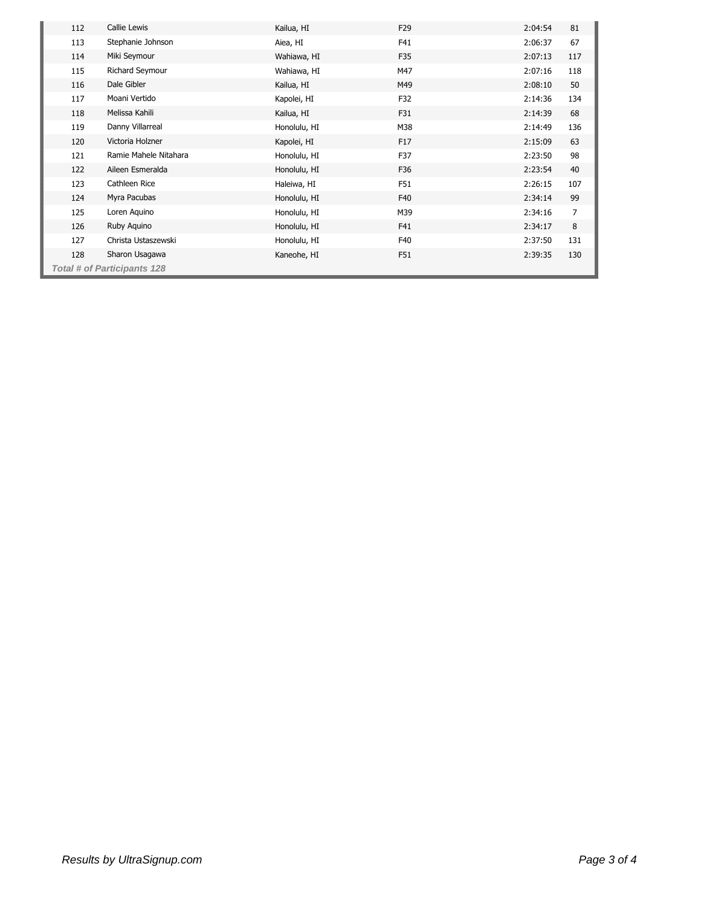| 112                         | Callie Lewis          | Kailua, HI   | F <sub>29</sub> | 2:04:54 | 81  |  |  |
|-----------------------------|-----------------------|--------------|-----------------|---------|-----|--|--|
| 113                         | Stephanie Johnson     | Aiea, HI     | F41             | 2:06:37 | 67  |  |  |
| 114                         | Miki Seymour          | Wahiawa, HI  | F35             | 2:07:13 | 117 |  |  |
| 115                         | Richard Seymour       | Wahiawa, HI  | M47             | 2:07:16 | 118 |  |  |
| 116                         | Dale Gibler           | Kailua, HI   | M49             | 2:08:10 | 50  |  |  |
| 117                         | Moani Vertido         | Kapolei, HI  | F32             | 2:14:36 | 134 |  |  |
| 118                         | Melissa Kahili        | Kailua, HI   | F31             | 2:14:39 | 68  |  |  |
| 119                         | Danny Villarreal      | Honolulu, HI | M38             | 2:14:49 | 136 |  |  |
| 120                         | Victoria Holzner      | Kapolei, HI  | F17             | 2:15:09 | 63  |  |  |
| 121                         | Ramie Mahele Nitahara | Honolulu, HI | F37             | 2:23:50 | 98  |  |  |
| 122                         | Aileen Esmeralda      | Honolulu, HI | F36             | 2:23:54 | 40  |  |  |
| 123                         | Cathleen Rice         | Haleiwa, HI  | F51             | 2:26:15 | 107 |  |  |
| 124                         | Myra Pacubas          | Honolulu, HI | F40             | 2:34:14 | 99  |  |  |
| 125                         | Loren Aguino          | Honolulu, HI | M39             | 2:34:16 | 7   |  |  |
| 126                         | Ruby Aquino           | Honolulu, HI | F41             | 2:34:17 | 8   |  |  |
| 127                         | Christa Ustaszewski   | Honolulu, HI | F40             | 2:37:50 | 131 |  |  |
| 128                         | Sharon Usagawa        | Kaneohe, HI  | F51             | 2:39:35 | 130 |  |  |
| Total # of Participants 128 |                       |              |                 |         |     |  |  |